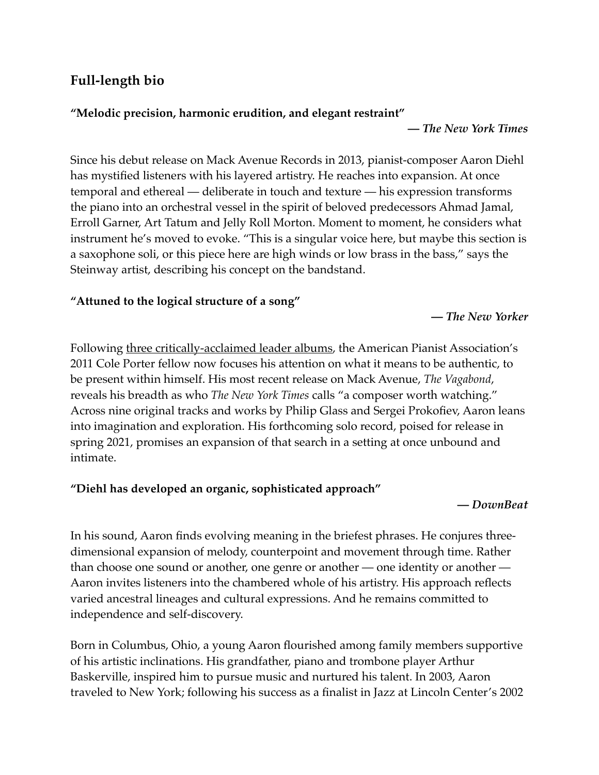# **Full-length bio**

### **"Melodic precision, harmonic erudition, and elegant restraint"**

**—** *The New York Times*

Since his debut release on Mack Avenue Records in 2013, pianist-composer Aaron Diehl has mystified listeners with his layered artistry. He reaches into expansion. At once temporal and ethereal — deliberate in touch and texture — his expression transforms the piano into an orchestral vessel in the spirit of beloved predecessors Ahmad Jamal, Erroll Garner, Art Tatum and Jelly Roll Morton. Moment to moment, he considers what instrument he's moved to evoke. "This is a singular voice here, but maybe this section is a saxophone soli, or this piece here are high winds or low brass in the bass," says the Steinway artist, describing his concept on the bandstand.

## **"Attuned to the logical structure of a song"**

### **—** *The New Yorker*

Following [three critically-acclaimed leader albums](https://www.mackavenue.com/artists/aaron-diehl), the American Pianist Association's 2011 Cole Porter fellow now focuses his attention on what it means to be authentic, to be present within himself. His most recent release on Mack Avenue, *The Vagabond*, reveals his breadth as who *The New York Times* calls "a composer worth watching." Across nine original tracks and works by Philip Glass and Sergei Prokofiev, Aaron leans into imagination and exploration. His forthcoming solo record, poised for release in spring 2021, promises an expansion of that search in a setting at once unbound and intimate.

## **"Diehl has developed an organic, sophisticated approach"**

#### **—** *DownBeat*

In his sound, Aaron finds evolving meaning in the briefest phrases. He conjures threedimensional expansion of melody, counterpoint and movement through time. Rather than choose one sound or another, one genre or another — one identity or another — Aaron invites listeners into the chambered whole of his artistry. His approach reflects varied ancestral lineages and cultural expressions. And he remains committed to independence and self-discovery.

Born in Columbus, Ohio, a young Aaron flourished among family members supportive of his artistic inclinations. His grandfather, piano and trombone player Arthur Baskerville, inspired him to pursue music and nurtured his talent. In 2003, Aaron traveled to New York; following his success as a finalist in Jazz at Lincoln Center's 2002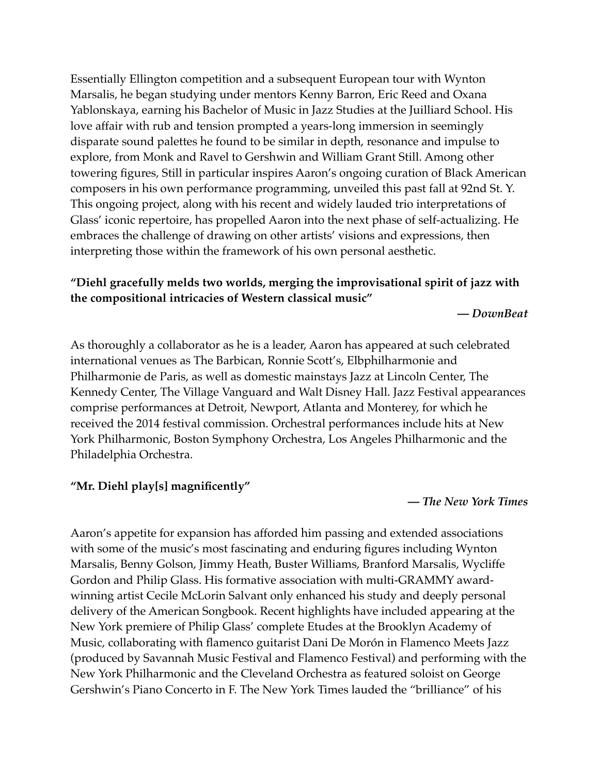Essentially Ellington competition and a subsequent European tour with Wynton Marsalis, he began studying under mentors Kenny Barron, Eric Reed and Oxana Yablonskaya, earning his Bachelor of Music in Jazz Studies at the Juilliard School. His love affair with rub and tension prompted a years-long immersion in seemingly disparate sound palettes he found to be similar in depth, resonance and impulse to explore, from Monk and Ravel to Gershwin and William Grant Still. Among other towering figures, Still in particular inspires Aaron's ongoing curation of Black American composers in his own performance programming, unveiled this past fall at 92nd St. Y. This ongoing project, along with his recent and widely lauded trio interpretations of Glass' iconic repertoire, has propelled Aaron into the next phase of self-actualizing. He embraces the challenge of drawing on other artists' visions and expressions, then interpreting those within the framework of his own personal aesthetic.

## **"Diehl gracefully melds two worlds, merging the improvisational spirit of jazz with the compositional intricacies of Western classical music"**

**—** *DownBeat*

As thoroughly a collaborator as he is a leader, Aaron has appeared at such celebrated international venues as The Barbican, Ronnie Scott's, Elbphilharmonie and Philharmonie de Paris, as well as domestic mainstays Jazz at Lincoln Center, The Kennedy Center, The Village Vanguard and Walt Disney Hall. Jazz Festival appearances comprise performances at Detroit, Newport, Atlanta and Monterey, for which he received the 2014 festival commission. Orchestral performances include hits at New York Philharmonic, Boston Symphony Orchestra, Los Angeles Philharmonic and the Philadelphia Orchestra.

### **"Mr. Diehl play[s] magnificently"**

**—** *The New York Times*

Aaron's appetite for expansion has afforded him passing and extended associations with some of the music's most fascinating and enduring figures including Wynton Marsalis, Benny Golson, Jimmy Heath, Buster Williams, Branford Marsalis, Wycliffe Gordon and Philip Glass. His formative association with multi-GRAMMY awardwinning artist Cecile McLorin Salvant only enhanced his study and deeply personal delivery of the American Songbook. Recent highlights have included appearing at the New York premiere of Philip Glass' complete Etudes at the Brooklyn Academy of Music, collaborating with flamenco guitarist Dani De Morón in Flamenco Meets Jazz (produced by Savannah Music Festival and Flamenco Festival) and performing with the New York Philharmonic and the Cleveland Orchestra as featured soloist on George Gershwin's Piano Concerto in F. The New York Times lauded the "brilliance" of his